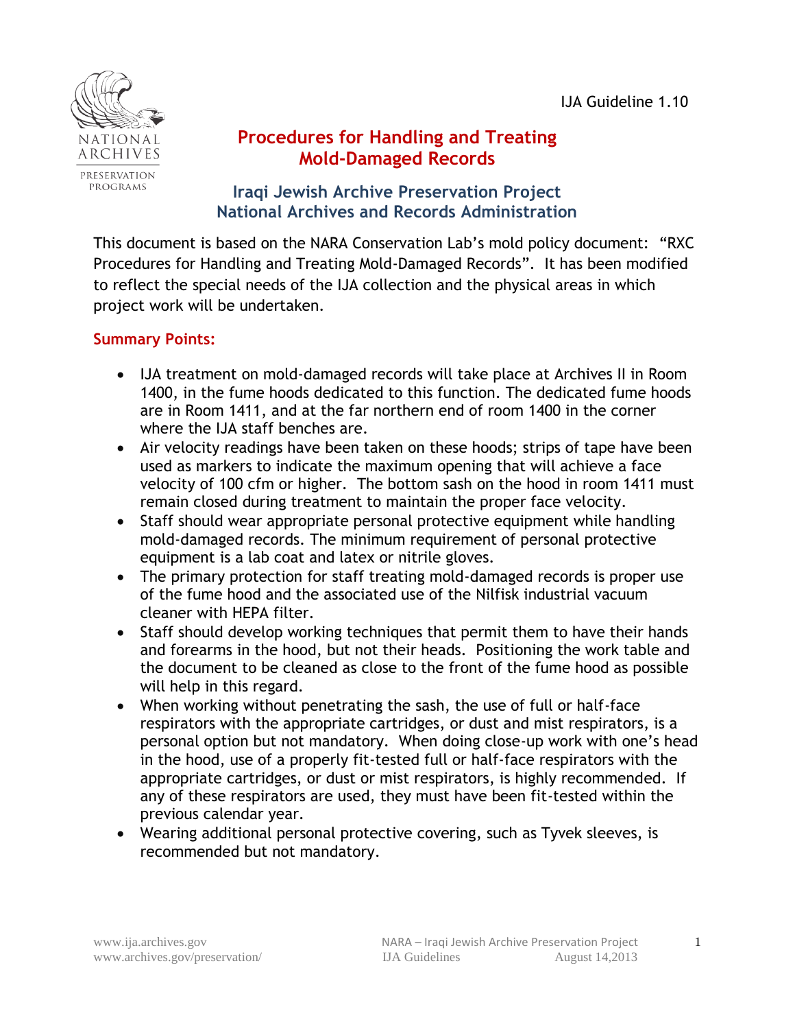

# **Procedures for Handling and Treating Mold-Damaged Records**

**Iraqi Jewish Archive Preservation Project National Archives and Records Administration**

This document is based on the NARA Conservation Lab's mold policy document: "RXC Procedures for Handling and Treating Mold-Damaged Records". It has been modified to reflect the special needs of the IJA collection and the physical areas in which project work will be undertaken.

# **Summary Points:**

- IJA treatment on mold-damaged records will take place at Archives II in Room 1400, in the fume hoods dedicated to this function. The dedicated fume hoods are in Room 1411, and at the far northern end of room 1400 in the corner where the IJA staff benches are.
- Air velocity readings have been taken on these hoods; strips of tape have been used as markers to indicate the maximum opening that will achieve a face velocity of 100 cfm or higher. The bottom sash on the hood in room 1411 must remain closed during treatment to maintain the proper face velocity.
- Staff should wear appropriate personal protective equipment while handling mold-damaged records. The minimum requirement of personal protective equipment is a lab coat and latex or nitrile gloves.
- The primary protection for staff treating mold-damaged records is proper use of the fume hood and the associated use of the Nilfisk industrial vacuum cleaner with HEPA filter.
- Staff should develop working techniques that permit them to have their hands and forearms in the hood, but not their heads. Positioning the work table and the document to be cleaned as close to the front of the fume hood as possible will help in this regard.
- When working without penetrating the sash, the use of full or half-face respirators with the appropriate cartridges, or dust and mist respirators, is a personal option but not mandatory. When doing close-up work with one's head in the hood, use of a properly fit-tested full or half-face respirators with the appropriate cartridges, or dust or mist respirators, is highly recommended. If any of these respirators are used, they must have been fit-tested within the previous calendar year.
- Wearing additional personal protective covering, such as Tyvek sleeves, is recommended but not mandatory.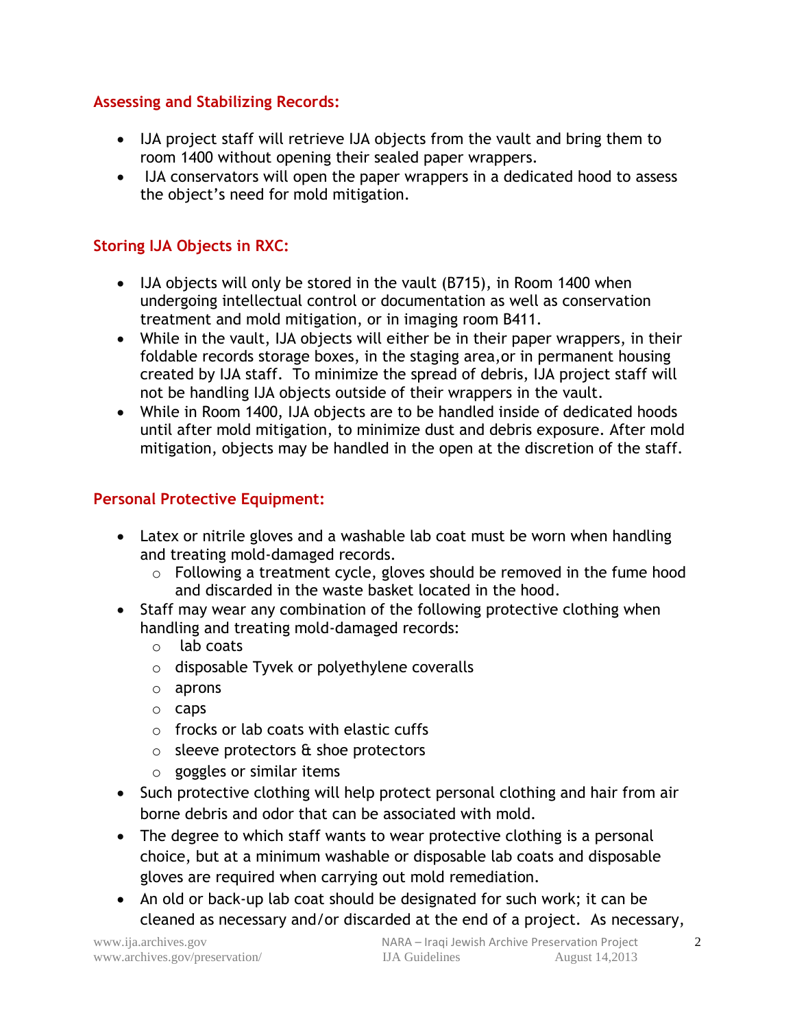#### **Assessing and Stabilizing Records:**

- IJA project staff will retrieve IJA objects from the vault and bring them to room 1400 without opening their sealed paper wrappers.
- IJA conservators will open the paper wrappers in a dedicated hood to assess the object's need for mold mitigation.

### **Storing IJA Objects in RXC:**

- IJA objects will only be stored in the vault (B715), in Room 1400 when undergoing intellectual control or documentation as well as conservation treatment and mold mitigation, or in imaging room B411.
- While in the vault, IJA objects will either be in their paper wrappers, in their foldable records storage boxes, in the staging area,or in permanent housing created by IJA staff. To minimize the spread of debris, IJA project staff will not be handling IJA objects outside of their wrappers in the vault.
- While in Room 1400, IJA objects are to be handled inside of dedicated hoods until after mold mitigation, to minimize dust and debris exposure. After mold mitigation, objects may be handled in the open at the discretion of the staff.

#### **Personal Protective Equipment:**

- Latex or nitrile gloves and a washable lab coat must be worn when handling and treating mold-damaged records.
	- o Following a treatment cycle, gloves should be removed in the fume hood and discarded in the waste basket located in the hood.
- Staff may wear any combination of the following protective clothing when handling and treating mold-damaged records:
	- o lab coats
	- o disposable Tyvek or polyethylene coveralls
	- o aprons
	- o caps
	- o frocks or lab coats with elastic cuffs
	- $\circ$  sleeve protectors  $\&$  shoe protectors
	- o goggles or similar items
- Such protective clothing will help protect personal clothing and hair from air borne debris and odor that can be associated with mold.
- The degree to which staff wants to wear protective clothing is a personal choice, but at a minimum washable or disposable lab coats and disposable gloves are required when carrying out mold remediation.
- An old or back-up lab coat should be designated for such work; it can be cleaned as necessary and/or discarded at the end of a project. As necessary,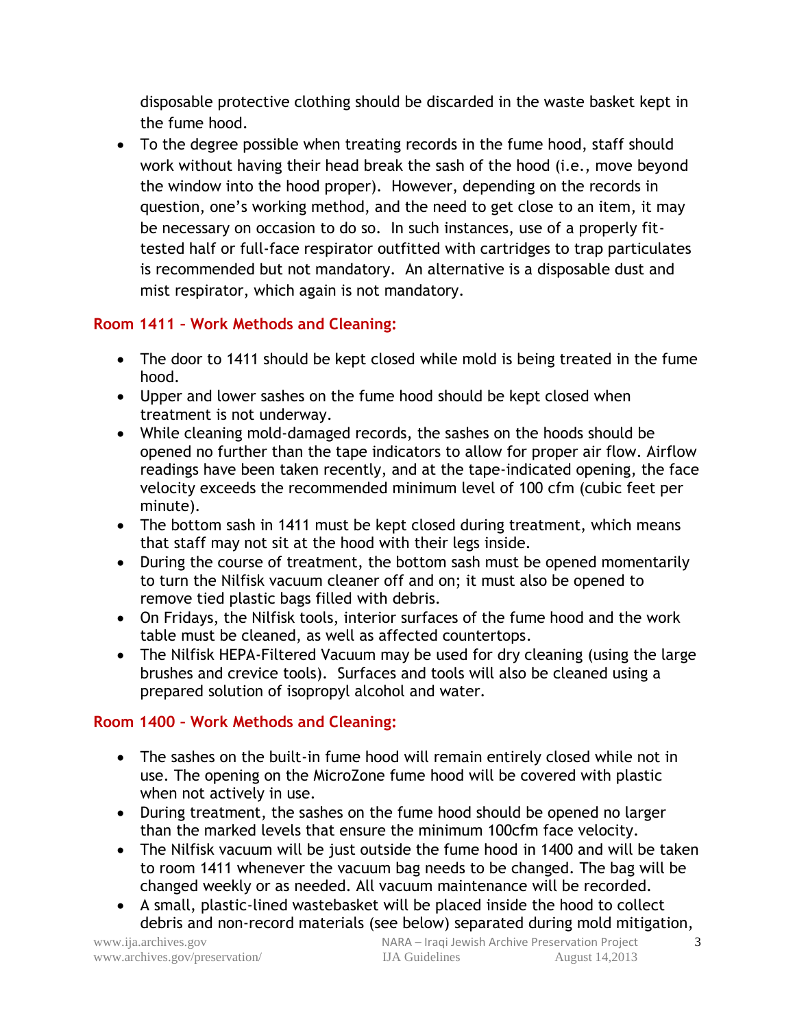disposable protective clothing should be discarded in the waste basket kept in the fume hood.

 To the degree possible when treating records in the fume hood, staff should work without having their head break the sash of the hood (i.e., move beyond the window into the hood proper). However, depending on the records in question, one's working method, and the need to get close to an item, it may be necessary on occasion to do so. In such instances, use of a properly fittested half or full-face respirator outfitted with cartridges to trap particulates is recommended but not mandatory. An alternative is a disposable dust and mist respirator, which again is not mandatory.

#### **Room 1411 – Work Methods and Cleaning:**

- The door to 1411 should be kept closed while mold is being treated in the fume hood.
- Upper and lower sashes on the fume hood should be kept closed when treatment is not underway.
- While cleaning mold-damaged records, the sashes on the hoods should be opened no further than the tape indicators to allow for proper air flow. Airflow readings have been taken recently, and at the tape-indicated opening, the face velocity exceeds the recommended minimum level of 100 cfm (cubic feet per minute).
- The bottom sash in 1411 must be kept closed during treatment, which means that staff may not sit at the hood with their legs inside.
- During the course of treatment, the bottom sash must be opened momentarily to turn the Nilfisk vacuum cleaner off and on; it must also be opened to remove tied plastic bags filled with debris.
- On Fridays, the Nilfisk tools, interior surfaces of the fume hood and the work table must be cleaned, as well as affected countertops.
- The Nilfisk HEPA-Filtered Vacuum may be used for dry cleaning (using the large brushes and crevice tools). Surfaces and tools will also be cleaned using a prepared solution of isopropyl alcohol and water.

#### **Room 1400 – Work Methods and Cleaning:**

- The sashes on the built-in fume hood will remain entirely closed while not in use. The opening on the MicroZone fume hood will be covered with plastic when not actively in use.
- During treatment, the sashes on the fume hood should be opened no larger than the marked levels that ensure the minimum 100cfm face velocity.
- The Nilfisk vacuum will be just outside the fume hood in 1400 and will be taken to room 1411 whenever the vacuum bag needs to be changed. The bag will be changed weekly or as needed. All vacuum maintenance will be recorded.
- A small, plastic-lined wastebasket will be placed inside the hood to collect debris and non-record materials (see below) separated during mold mitigation,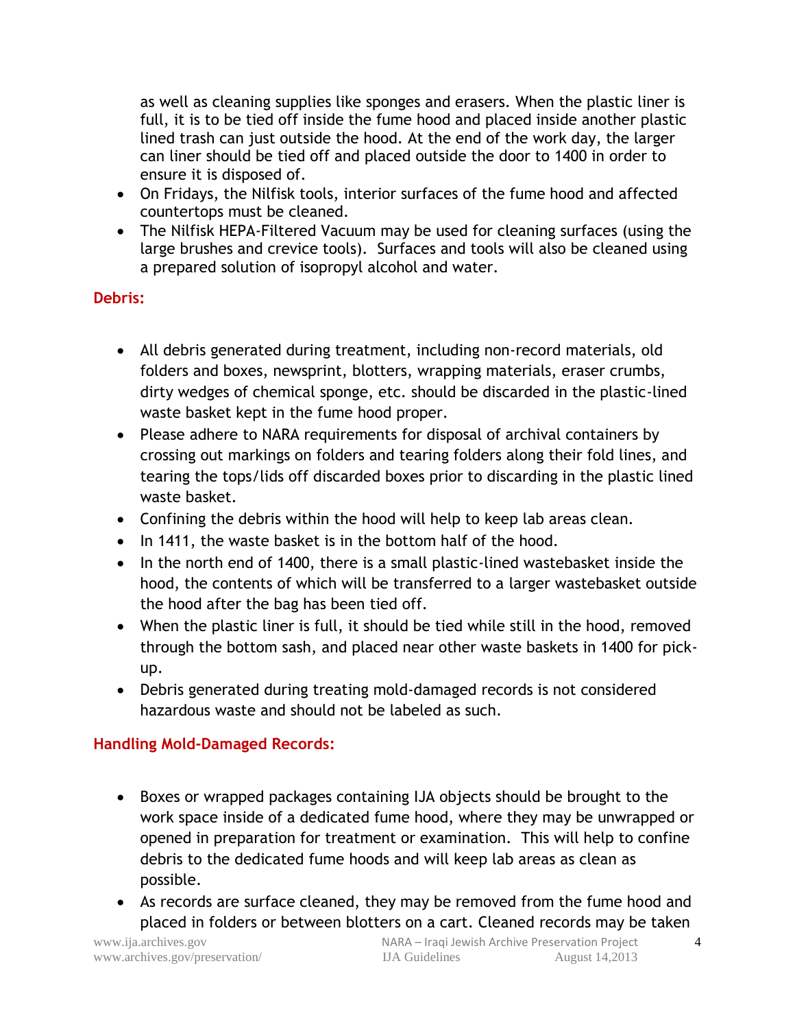as well as cleaning supplies like sponges and erasers. When the plastic liner is full, it is to be tied off inside the fume hood and placed inside another plastic lined trash can just outside the hood. At the end of the work day, the larger can liner should be tied off and placed outside the door to 1400 in order to ensure it is disposed of.

- On Fridays, the Nilfisk tools, interior surfaces of the fume hood and affected countertops must be cleaned.
- The Nilfisk HEPA-Filtered Vacuum may be used for cleaning surfaces (using the large brushes and crevice tools). Surfaces and tools will also be cleaned using a prepared solution of isopropyl alcohol and water.

### **Debris:**

- All debris generated during treatment, including non-record materials, old folders and boxes, newsprint, blotters, wrapping materials, eraser crumbs, dirty wedges of chemical sponge, etc. should be discarded in the plastic-lined waste basket kept in the fume hood proper.
- Please adhere to NARA requirements for disposal of archival containers by crossing out markings on folders and tearing folders along their fold lines, and tearing the tops/lids off discarded boxes prior to discarding in the plastic lined waste basket.
- Confining the debris within the hood will help to keep lab areas clean.
- In 1411, the waste basket is in the bottom half of the hood.
- In the north end of 1400, there is a small plastic-lined wastebasket inside the hood, the contents of which will be transferred to a larger wastebasket outside the hood after the bag has been tied off.
- When the plastic liner is full, it should be tied while still in the hood, removed through the bottom sash, and placed near other waste baskets in 1400 for pickup.
- Debris generated during treating mold-damaged records is not considered hazardous waste and should not be labeled as such.

#### **Handling Mold-Damaged Records:**

- Boxes or wrapped packages containing IJA objects should be brought to the work space inside of a dedicated fume hood, where they may be unwrapped or opened in preparation for treatment or examination. This will help to confine debris to the dedicated fume hoods and will keep lab areas as clean as possible.
- As records are surface cleaned, they may be removed from the fume hood and placed in folders or between blotters on a cart. Cleaned records may be taken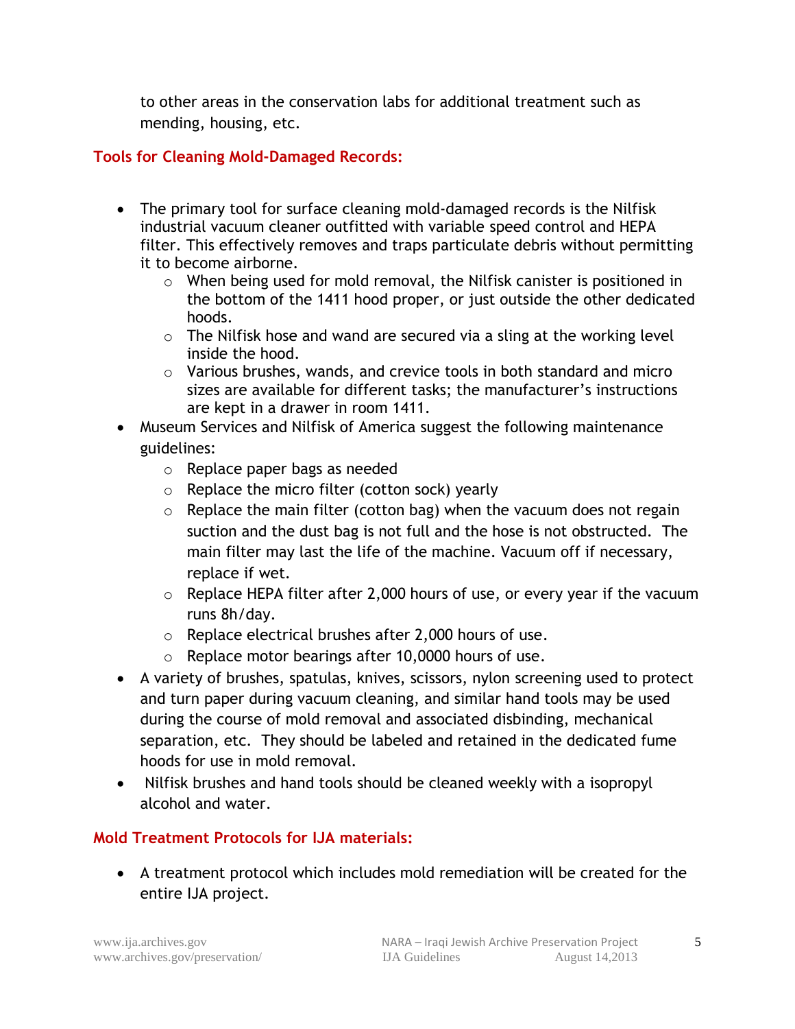to other areas in the conservation labs for additional treatment such as mending, housing, etc.

### **Tools for Cleaning Mold-Damaged Records:**

- The primary tool for surface cleaning mold-damaged records is the Nilfisk industrial vacuum cleaner outfitted with variable speed control and HEPA filter. This effectively removes and traps particulate debris without permitting it to become airborne.
	- o When being used for mold removal, the Nilfisk canister is positioned in the bottom of the 1411 hood proper, or just outside the other dedicated hoods.
	- $\circ$  The Nilfisk hose and wand are secured via a sling at the working level inside the hood.
	- o Various brushes, wands, and crevice tools in both standard and micro sizes are available for different tasks; the manufacturer's instructions are kept in a drawer in room 1411.
- Museum Services and Nilfisk of America suggest the following maintenance guidelines:
	- o Replace paper bags as needed
	- o Replace the micro filter (cotton sock) yearly
	- $\circ$  Replace the main filter (cotton bag) when the vacuum does not regain suction and the dust bag is not full and the hose is not obstructed. The main filter may last the life of the machine. Vacuum off if necessary, replace if wet.
	- $\circ$  Replace HEPA filter after 2,000 hours of use, or every year if the vacuum runs 8h/day.
	- $\circ$  Replace electrical brushes after 2,000 hours of use.
	- o Replace motor bearings after 10,0000 hours of use.
- A variety of brushes, spatulas, knives, scissors, nylon screening used to protect and turn paper during vacuum cleaning, and similar hand tools may be used during the course of mold removal and associated disbinding, mechanical separation, etc. They should be labeled and retained in the dedicated fume hoods for use in mold removal.
- Nilfisk brushes and hand tools should be cleaned weekly with a isopropyl alcohol and water.

# **Mold Treatment Protocols for IJA materials:**

 A treatment protocol which includes mold remediation will be created for the entire IJA project.